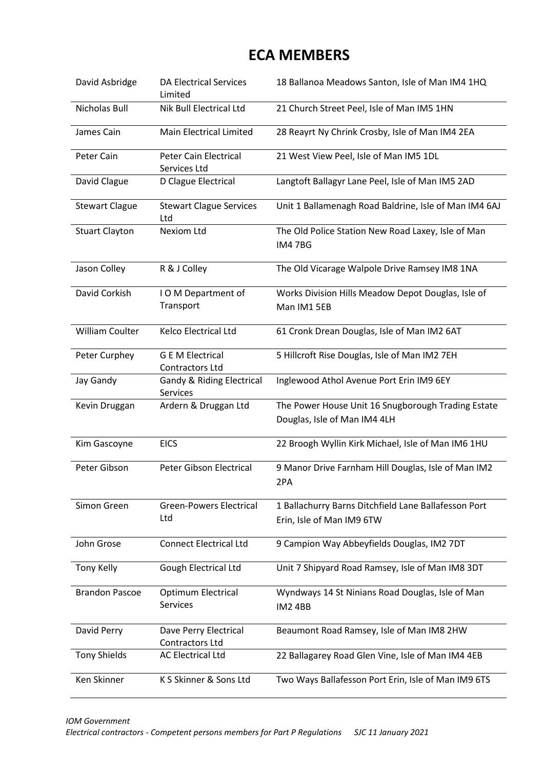## **ECA MEMBERS**

| David Asbridge         | <b>DA Electrical Services</b><br>Limited          | 18 Ballanoa Meadows Santon, Isle of Man IM4 1HQ                                   |
|------------------------|---------------------------------------------------|-----------------------------------------------------------------------------------|
| <b>Nicholas Bull</b>   | Nik Bull Electrical Ltd                           | 21 Church Street Peel, Isle of Man IM5 1HN                                        |
| James Cain             | <b>Main Electrical Limited</b>                    | 28 Reayrt Ny Chrink Crosby, Isle of Man IM4 2EA                                   |
| Peter Cain             | Peter Cain Electrical<br>Services Ltd             | 21 West View Peel, Isle of Man IM5 1DL                                            |
| David Clague           | D Clague Electrical                               | Langtoft Ballagyr Lane Peel, Isle of Man IM5 2AD                                  |
| <b>Stewart Clague</b>  | <b>Stewart Clague Services</b><br>Ltd             | Unit 1 Ballamenagh Road Baldrine, Isle of Man IM4 6AJ                             |
| <b>Stuart Clayton</b>  | <b>Nexiom Ltd</b>                                 | The Old Police Station New Road Laxey, Isle of Man<br><b>IM47BG</b>               |
| Jason Colley           | R & J Colley                                      | The Old Vicarage Walpole Drive Ramsey IM8 1NA                                     |
| David Corkish          | IOM Department of<br>Transport                    | Works Division Hills Meadow Depot Douglas, Isle of<br>Man IM1 5EB                 |
| <b>William Coulter</b> | Kelco Electrical Ltd                              | 61 Cronk Drean Douglas, Isle of Man IM2 6AT                                       |
| Peter Curphey          | <b>G E M Electrical</b><br><b>Contractors Ltd</b> | 5 Hillcroft Rise Douglas, Isle of Man IM2 7EH                                     |
| Jay Gandy              | <b>Gandy &amp; Riding Electrical</b><br>Services  | Inglewood Athol Avenue Port Erin IM9 6EY                                          |
| Kevin Druggan          | Ardern & Druggan Ltd                              | The Power House Unit 16 Snugborough Trading Estate                                |
|                        |                                                   | Douglas, Isle of Man IM4 4LH                                                      |
| Kim Gascoyne           | <b>EICS</b>                                       | 22 Broogh Wyllin Kirk Michael, Isle of Man IM6 1HU                                |
| Peter Gibson           | Peter Gibson Electrical                           | 9 Manor Drive Farnham Hill Douglas, Isle of Man IM2<br>2PA                        |
| Simon Green            | <b>Green-Powers Electrical</b><br>Ltd             | 1 Ballachurry Barns Ditchfield Lane Ballafesson Port<br>Erin, Isle of Man IM9 6TW |
| John Grose             | <b>Connect Electrical Ltd</b>                     | 9 Campion Way Abbeyfields Douglas, IM2 7DT                                        |
| <b>Tony Kelly</b>      | <b>Gough Electrical Ltd</b>                       | Unit 7 Shipyard Road Ramsey, Isle of Man IM8 3DT                                  |
| <b>Brandon Pascoe</b>  | <b>Optimum Electrical</b><br>Services             | Wyndways 14 St Ninians Road Douglas, Isle of Man<br><b>IM24BB</b>                 |
| David Perry            | Dave Perry Electrical<br><b>Contractors Ltd</b>   | Beaumont Road Ramsey, Isle of Man IM8 2HW                                         |
| <b>Tony Shields</b>    | <b>AC Electrical Ltd</b>                          | 22 Ballagarey Road Glen Vine, Isle of Man IM4 4EB                                 |
| Ken Skinner            | K S Skinner & Sons Ltd                            | Two Ways Ballafesson Port Erin, Isle of Man IM9 6TS                               |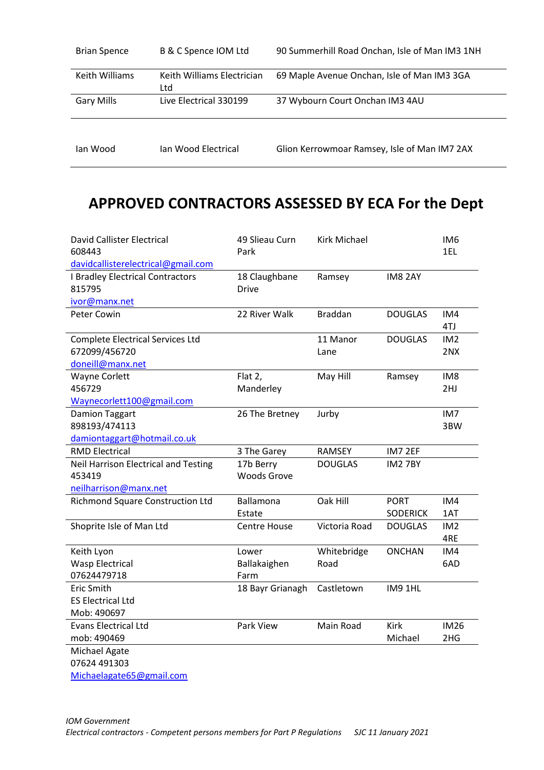| <b>Brian Spence</b> | B & C Spence IOM Ltd              | 90 Summerhill Road Onchan, Isle of Man IM3 1NH |
|---------------------|-----------------------------------|------------------------------------------------|
| Keith Williams      | Keith Williams Electrician<br>Ltd | 69 Maple Avenue Onchan, Isle of Man IM3 3GA    |
| <b>Gary Mills</b>   | Live Electrical 330199            | 37 Wybourn Court Onchan IM3 4AU                |
|                     |                                   |                                                |
| lan Wood            | Jan Wood Electrical               | Glion Kerrowmoar Ramsey, Isle of Man IM7 2AX   |

## **APPROVED CONTRACTORS ASSESSED BY ECA For the Dept**

| <b>David Callister Electrical</b>           | 49 Slieau Curn      | <b>Kirk Michael</b> |                 | IM <sub>6</sub> |
|---------------------------------------------|---------------------|---------------------|-----------------|-----------------|
| 608443                                      | Park                |                     |                 | 1EL             |
| davidcallisterelectrical@gmail.com          |                     |                     |                 |                 |
| <b>I Bradley Electrical Contractors</b>     | 18 Claughbane       | Ramsey              | IM8 2AY         |                 |
| 815795                                      | <b>Drive</b>        |                     |                 |                 |
| ivor@manx.net                               |                     |                     |                 |                 |
| Peter Cowin                                 | 22 River Walk       | <b>Braddan</b>      | <b>DOUGLAS</b>  | IM4             |
|                                             |                     |                     |                 | 4TJ             |
| <b>Complete Electrical Services Ltd</b>     |                     | 11 Manor            | <b>DOUGLAS</b>  | IM <sub>2</sub> |
| 672099/456720                               |                     | Lane                |                 | 2NX             |
| doneill@manx.net                            |                     |                     |                 |                 |
| <b>Wayne Corlett</b>                        | Flat 2,             | May Hill            | Ramsey          | IM <sub>8</sub> |
| 456729                                      | Manderley           |                     |                 | 2HJ             |
| Waynecorlett100@gmail.com                   |                     |                     |                 |                 |
| <b>Damion Taggart</b>                       | 26 The Bretney      | Jurby               |                 | IM7             |
| 898193/474113                               |                     |                     |                 | 3BW             |
| damiontaggart@hotmail.co.uk                 |                     |                     |                 |                 |
| <b>RMD Electrical</b>                       | 3 The Garey         | RAMSEY              | IM7 2EF         |                 |
| <b>Neil Harrison Electrical and Testing</b> | 17b Berry           | <b>DOUGLAS</b>      | <b>IM27BY</b>   |                 |
| 453419                                      | <b>Woods Grove</b>  |                     |                 |                 |
| neilharrison@manx.net                       |                     |                     |                 |                 |
| <b>Richmond Square Construction Ltd</b>     | Ballamona           | Oak Hill            | <b>PORT</b>     | IM4             |
|                                             | Estate              |                     | <b>SODERICK</b> | 1AT             |
| Shoprite Isle of Man Ltd                    | <b>Centre House</b> | Victoria Road       | <b>DOUGLAS</b>  | IM <sub>2</sub> |
|                                             |                     |                     |                 | 4RE             |
| Keith Lyon                                  | Lower               | Whitebridge         | <b>ONCHAN</b>   | IM4             |
| <b>Wasp Electrical</b>                      | Ballakaighen        | Road                |                 | 6AD             |
| 07624479718                                 | Farm                |                     |                 |                 |
| <b>Eric Smith</b>                           | 18 Bayr Grianagh    | Castletown          | IM9 1HL         |                 |
| <b>ES Electrical Ltd</b>                    |                     |                     |                 |                 |
| Mob: 490697                                 |                     |                     |                 |                 |
| <b>Evans Electrical Ltd</b>                 | Park View           | Main Road           | <b>Kirk</b>     | <b>IM26</b>     |
| mob: 490469                                 |                     |                     | Michael         | 2HG             |
| Michael Agate                               |                     |                     |                 |                 |
| 07624 491303                                |                     |                     |                 |                 |
| Michaelagate65@gmail.com                    |                     |                     |                 |                 |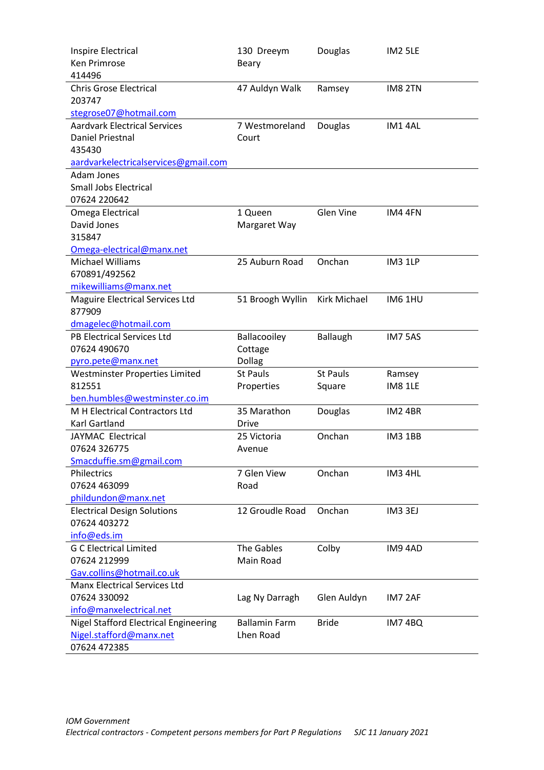| Inspire Electrical                            | 130 Dreeym           | Douglas          | <b>IM2 5LE</b> |
|-----------------------------------------------|----------------------|------------------|----------------|
| <b>Ken Primrose</b>                           | <b>Beary</b>         |                  |                |
| 414496                                        |                      |                  |                |
| <b>Chris Grose Electrical</b>                 | 47 Auldyn Walk       | Ramsey           | IM8 2TN        |
| 203747                                        |                      |                  |                |
| stegrose07@hotmail.com                        |                      |                  |                |
| <b>Aardvark Electrical Services</b>           | 7 Westmoreland       | Douglas          | IM14AL         |
| <b>Daniel Priestnal</b>                       | Court                |                  |                |
| 435430                                        |                      |                  |                |
| aardvarkelectricalservices@gmail.com          |                      |                  |                |
| Adam Jones                                    |                      |                  |                |
| <b>Small Jobs Electrical</b>                  |                      |                  |                |
| 07624 220642                                  |                      |                  |                |
| Omega Electrical                              | 1 Queen              | <b>Glen Vine</b> | IM4 4FN        |
| David Jones                                   | Margaret Way         |                  |                |
| 315847                                        |                      |                  |                |
| Omega-electrical@manx.net<br>Michael Williams | 25 Auburn Road       | Onchan           | IM3 1LP        |
| 670891/492562                                 |                      |                  |                |
| mikewilliams@manx.net                         |                      |                  |                |
| <b>Maguire Electrical Services Ltd</b>        | 51 Broogh Wyllin     | Kirk Michael     | <b>IM6 1HU</b> |
| 877909                                        |                      |                  |                |
| dmagelec@hotmail.com                          |                      |                  |                |
| <b>PB Electrical Services Ltd</b>             | Ballacooiley         | <b>Ballaugh</b>  | IM75AS         |
| 07624 490670                                  | Cottage              |                  |                |
| pyro.pete@manx.net                            | Dollag               |                  |                |
| Westminster Properties Limited                | <b>St Pauls</b>      | <b>St Pauls</b>  | Ramsey         |
| 812551                                        | Properties           | Square           | <b>IM8 1LE</b> |
| ben.humbles@westminster.co.im                 |                      |                  |                |
| M H Electrical Contractors Ltd                | 35 Marathon          | Douglas          | <b>IM2 4BR</b> |
| <b>Karl Gartland</b>                          | <b>Drive</b>         |                  |                |
| JAYMAC Electrical                             | 25 Victoria          | Onchan           | <b>IM3 1BB</b> |
| 07624 326775                                  | Avenue               |                  |                |
| Smacduffie.sm@gmail.com                       |                      |                  |                |
| Philectrics                                   | 7 Glen View          | Onchan           | IM3 4HL        |
| 07624 463099                                  | Road                 |                  |                |
| phildundon@manx.net                           |                      |                  |                |
| <b>Electrical Design Solutions</b>            | 12 Groudle Road      | Onchan           | IM3 3EJ        |
| 07624 403272                                  |                      |                  |                |
| info@eds.im                                   |                      |                  |                |
| <b>G C Electrical Limited</b>                 | The Gables           | Colby            | IM94AD         |
| 07624 212999                                  | Main Road            |                  |                |
| Gav.collins@hotmail.co.uk                     |                      |                  |                |
| <b>Manx Electrical Services Ltd</b>           |                      |                  |                |
| 07624 330092                                  | Lag Ny Darragh       | Glen Auldyn      | IM7 2AF        |
| info@manxelectrical.net                       |                      |                  |                |
| <b>Nigel Stafford Electrical Engineering</b>  | <b>Ballamin Farm</b> | <b>Bride</b>     | <b>IM74BQ</b>  |
| Nigel.stafford@manx.net                       | Lhen Road            |                  |                |
| 07624 472385                                  |                      |                  |                |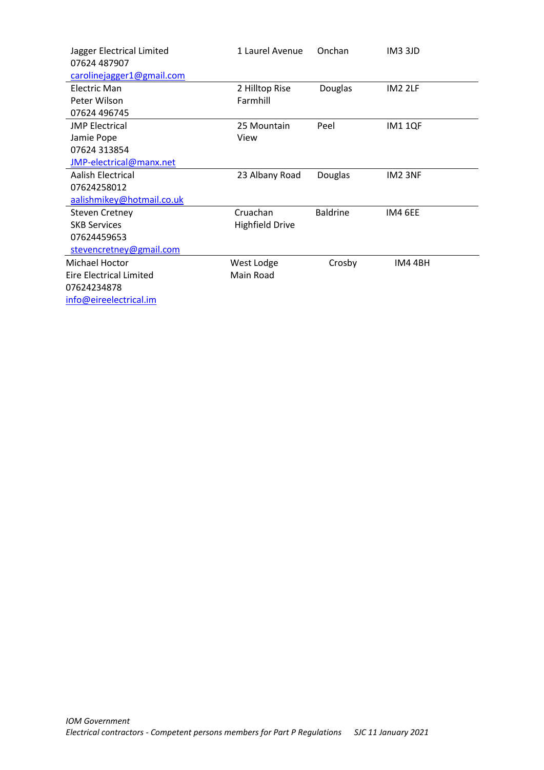| Jagger Electrical Limited | 1 Laurel Avenue        | Onchan          | IM3 3JD        |
|---------------------------|------------------------|-----------------|----------------|
| 07624 487907              |                        |                 |                |
| carolinejagger1@gmail.com |                        |                 |                |
| Electric Man              | 2 Hilltop Rise         | Douglas         | <b>IM2 2LF</b> |
| Peter Wilson              | Farmhill               |                 |                |
| 07624 496745              |                        |                 |                |
| <b>JMP Electrical</b>     | 25 Mountain            | Peel            | <b>IM11QF</b>  |
| Jamie Pope                | View                   |                 |                |
| 07624 313854              |                        |                 |                |
| JMP-electrical@manx.net   |                        |                 |                |
| Aalish Electrical         | 23 Albany Road         | Douglas         | IM2 3NF        |
| 07624258012               |                        |                 |                |
| aalishmikey@hotmail.co.uk |                        |                 |                |
| <b>Steven Cretney</b>     | Cruachan               | <b>Baldrine</b> | IM4 6EE        |
| <b>SKB Services</b>       | <b>Highfield Drive</b> |                 |                |
| 07624459653               |                        |                 |                |
| stevencretney@gmail.com   |                        |                 |                |
| Michael Hoctor            | West Lodge             | Crosby          | IM4 4BH        |
| Eire Electrical Limited   | Main Road              |                 |                |
| 07624234878               |                        |                 |                |
| info@eireelectrical.im    |                        |                 |                |
|                           |                        |                 |                |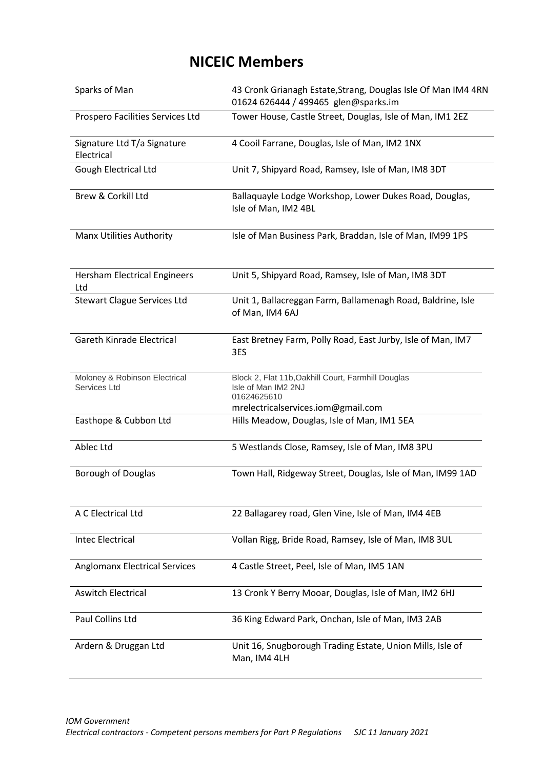## **NICEIC Members**

| Sparks of Man                                 | 43 Cronk Grianagh Estate, Strang, Douglas Isle Of Man IM4 4RN<br>01624 626444 / 499465 glen@sparks.im                          |  |  |  |
|-----------------------------------------------|--------------------------------------------------------------------------------------------------------------------------------|--|--|--|
| Prospero Facilities Services Ltd              | Tower House, Castle Street, Douglas, Isle of Man, IM1 2EZ                                                                      |  |  |  |
| Signature Ltd T/a Signature<br>Electrical     | 4 Cooil Farrane, Douglas, Isle of Man, IM2 1NX                                                                                 |  |  |  |
| Gough Electrical Ltd                          | Unit 7, Shipyard Road, Ramsey, Isle of Man, IM8 3DT                                                                            |  |  |  |
| Brew & Corkill Ltd                            | Ballaquayle Lodge Workshop, Lower Dukes Road, Douglas,<br>Isle of Man, IM2 4BL                                                 |  |  |  |
| <b>Manx Utilities Authority</b>               | Isle of Man Business Park, Braddan, Isle of Man, IM99 1PS                                                                      |  |  |  |
| <b>Hersham Electrical Engineers</b><br>Ltd    | Unit 5, Shipyard Road, Ramsey, Isle of Man, IM8 3DT                                                                            |  |  |  |
| <b>Stewart Clague Services Ltd</b>            | Unit 1, Ballacreggan Farm, Ballamenagh Road, Baldrine, Isle<br>of Man, IM4 6AJ                                                 |  |  |  |
| Gareth Kinrade Electrical                     | East Bretney Farm, Polly Road, East Jurby, Isle of Man, IM7<br>3ES                                                             |  |  |  |
| Moloney & Robinson Electrical<br>Services Ltd | Block 2, Flat 11b, Oakhill Court, Farmhill Douglas<br>Isle of Man IM2 2NJ<br>01624625610<br>mrelectricalservices.iom@gmail.com |  |  |  |
| Easthope & Cubbon Ltd                         | Hills Meadow, Douglas, Isle of Man, IM1 5EA                                                                                    |  |  |  |
| Ablec Ltd                                     | 5 Westlands Close, Ramsey, Isle of Man, IM8 3PU                                                                                |  |  |  |
| <b>Borough of Douglas</b>                     | Town Hall, Ridgeway Street, Douglas, Isle of Man, IM99 1AD                                                                     |  |  |  |
| A C Electrical Ltd                            | 22 Ballagarey road, Glen Vine, Isle of Man, IM4 4EB                                                                            |  |  |  |
| <b>Intec Electrical</b>                       | Vollan Rigg, Bride Road, Ramsey, Isle of Man, IM8 3UL                                                                          |  |  |  |
| <b>Anglomanx Electrical Services</b>          | 4 Castle Street, Peel, Isle of Man, IM5 1AN                                                                                    |  |  |  |
| <b>Aswitch Electrical</b>                     | 13 Cronk Y Berry Mooar, Douglas, Isle of Man, IM2 6HJ                                                                          |  |  |  |
| Paul Collins Ltd                              | 36 King Edward Park, Onchan, Isle of Man, IM3 2AB                                                                              |  |  |  |
| Ardern & Druggan Ltd                          | Unit 16, Snugborough Trading Estate, Union Mills, Isle of<br>Man, IM4 4LH                                                      |  |  |  |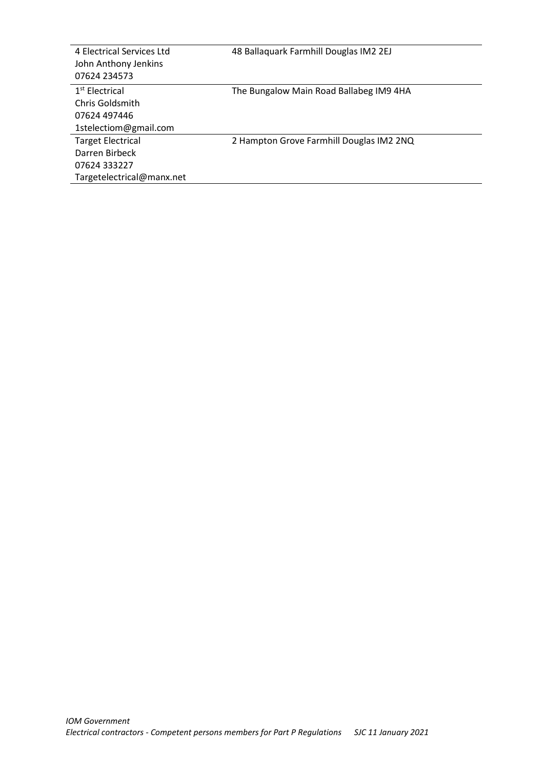| 4 Electrical Services Ltd<br>John Anthony Jenkins<br>07624 234573 | 48 Ballaquark Farmhill Douglas IM2 2EJ   |
|-------------------------------------------------------------------|------------------------------------------|
| $1st$ Electrical                                                  | The Bungalow Main Road Ballabeg IM9 4HA  |
| Chris Goldsmith                                                   |                                          |
| 07624 497446                                                      |                                          |
| 1stelectiom@gmail.com                                             |                                          |
| <b>Target Electrical</b>                                          | 2 Hampton Grove Farmhill Douglas IM2 2NQ |
| Darren Birbeck                                                    |                                          |
| 07624 333227                                                      |                                          |
| Targetelectrical@manx.net                                         |                                          |
|                                                                   |                                          |